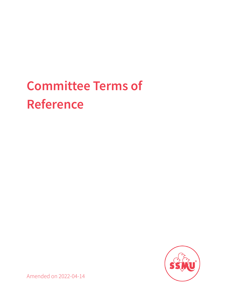# **Committee Terms of Reference**



Amended on 2022-04-14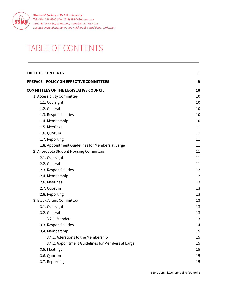

# <span id="page-1-0"></span>TABLE OF CONTENTS

| <b>TABLE OF CONTENTS</b>                           | 1  |
|----------------------------------------------------|----|
| PREFACE - POLICY ON EFFECTIVE COMMITTEES           | 9  |
| <b>COMMITTEES OF THE LEGISLATIVE COUNCIL</b>       | 10 |
| 1. Accessibility Committee                         | 10 |
| 1.1. Oversight                                     | 10 |
| 1.2. General                                       | 10 |
| 1.3. Responsibilities                              | 10 |
| 1.4. Membership                                    | 10 |
| 1.5. Meetings                                      | 11 |
| 1.6. Quorum                                        | 11 |
| 1.7. Reporting                                     | 11 |
| 1.8. Appointment Guidelines for Members at Large   | 11 |
| 2. Affordable Student Housing Committee            | 11 |
| 2.1. Oversight                                     | 11 |
| 2.2. General                                       | 11 |
| 2.3. Responsibilities                              | 12 |
| 2.4. Membership                                    | 12 |
| 2.6. Meetings                                      | 13 |
| 2.7. Quorum                                        | 13 |
| 2.8. Reporting                                     | 13 |
| 3. Black Affairs Committee                         | 13 |
| 3.1. Oversight                                     | 13 |
| 3.2. General                                       | 13 |
| 3.2.1. Mandate                                     | 13 |
| 3.3. Responsibilities                              | 14 |
| 3.4. Membership                                    | 15 |
| 3.4.1. Alterations to the Membership               | 15 |
| 3.4.2. Appointment Guidelines for Members at Large | 15 |
| 3.5. Meetings                                      | 15 |
| 3.6. Quorum                                        | 15 |
| 3.7. Reporting                                     | 15 |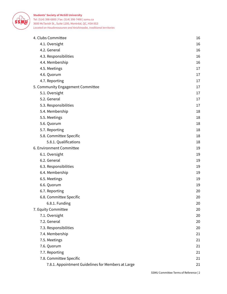

| 4. Clubs Committee                                 | 16 |
|----------------------------------------------------|----|
| 4.1. Oversight                                     | 16 |
| 4.2. General                                       | 16 |
| 4.3. Responsibilities                              | 16 |
| 4.4. Membership                                    | 16 |
| 4.5. Meetings                                      | 17 |
| 4.6. Quorum                                        | 17 |
| 4.7. Reporting                                     | 17 |
| 5. Community Engagement Committee                  | 17 |
| 5.1. Oversight                                     | 17 |
| 5.2. General                                       | 17 |
| 5.3. Responsibilities                              | 17 |
| 5.4. Membership                                    | 18 |
| 5.5. Meetings                                      | 18 |
| 5.6. Quorum                                        | 18 |
| 5.7. Reporting                                     | 18 |
| 5.8. Committee Specific                            | 18 |
| 5.8.1. Qualifications                              | 18 |
| 6. Environment Committee                           | 19 |
| 6.1. Oversight                                     | 19 |
| 6.2. General                                       | 19 |
| 6.3. Responsibilities                              | 19 |
| 6.4. Membership                                    | 19 |
| 6.5. Meetings                                      | 19 |
| 6.6. Quorum                                        | 19 |
| 6.7. Reporting                                     | 20 |
| 6.8. Committee Specific                            | 20 |
| 6.8.1. Funding                                     | 20 |
| 7. Equity Committee                                | 20 |
| 7.1. Oversight                                     | 20 |
| 7.2. General                                       | 20 |
| 7.3. Responsibilities                              | 20 |
| 7.4. Membership                                    | 21 |
| 7.5. Meetings                                      | 21 |
| 7.6. Quorum                                        | 21 |
| 7.7. Reporting                                     | 21 |
| 7.8. Committee Specific                            | 21 |
| 7.8.1. Appointment Guidelines for Members at Large | 21 |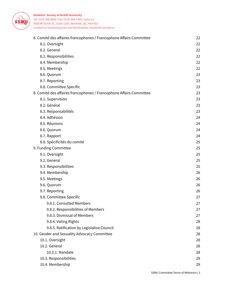

| 8. Comité des affaires francophones / Francophone Affairs Committee | 22 |
|---------------------------------------------------------------------|----|
| 8.1. Oversight                                                      | 22 |
| 8.2. General                                                        | 22 |
| 8.3. Responsibilities                                               | 22 |
| 8.4. Membership                                                     | 22 |
| 8.5. Meetings                                                       | 22 |
| 8.6. Quorum                                                         | 23 |
| 8.7. Reporting                                                      | 23 |
| 8.8. Committee Specific                                             | 23 |
| 8. Comité des affaires francophones / Francophone Affairs Committee | 23 |
| 8.1. Supervision                                                    | 23 |
| 8.2. Général                                                        | 23 |
| 8.3. Responsabilités                                                | 23 |
| 8.4. Adhésion                                                       | 24 |
| 8.5. Réunions                                                       | 24 |
| 8.6. Quorum                                                         | 24 |
| 8.7. Rapport                                                        | 24 |
| 8.8. Spécificités du comité                                         | 25 |
| 9. Funding Committee                                                | 25 |
| 9.1. Oversight                                                      | 25 |
| 9.2. General                                                        | 25 |
| 9.3. Responsibilities                                               | 25 |
| 9.4. Membership                                                     | 26 |
| 9.5. Meetings                                                       | 26 |
| 9.6. Quorum                                                         | 26 |
| 9.7. Reporting                                                      | 26 |
| 9.8. Committee Specific                                             | 27 |
| 9.8.1. Consulted Members                                            | 27 |
| 9.8.2. Responsibilities of Members                                  | 27 |
| 9.8.3. Dismissal of Members                                         | 27 |
| 9.8.4. Voting Rights                                                | 28 |
| 9.8.5. Ratification by Legislative Council                          | 28 |
| 10. Gender and Sexuality Advocacy Committee                         | 28 |
| 10.1. Oversight                                                     | 28 |
| 10.2. General                                                       | 28 |
| 10.2.1. Mandate                                                     | 28 |
| 10.3. Responsibilities                                              | 29 |
| 10.4. Membership                                                    | 29 |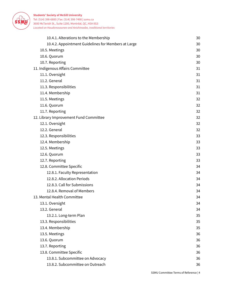

| 10.4.1. Alterations to the Membership               | 30 |
|-----------------------------------------------------|----|
| 10.4.2. Appointment Guidelines for Members at Large | 30 |
| 10.5. Meetings                                      | 30 |
| 10.6. Quorum                                        | 30 |
| 10.7. Reporting                                     | 30 |
| 11. Indigenous Affairs Committee                    | 31 |
| 11.1. Oversight                                     | 31 |
| 11.2. General                                       | 31 |
| 11.3. Responsibilities                              | 31 |
| 11.4. Membership                                    | 31 |
| 11.5. Meetings                                      | 32 |
| 11.6. Quorum                                        | 32 |
| 11.7. Reporting                                     | 32 |
| 12. Library Improvement Fund Committee              | 32 |
| 12.1. Oversight                                     | 32 |
| 12.2. General                                       | 32 |
| 12.3. Responsibilities                              | 33 |
| 12.4. Membership                                    | 33 |
| 12.5. Meetings                                      | 33 |
| 12.6. Quorum                                        | 33 |
| 12.7. Reporting                                     | 33 |
| 12.8. Committee Specific                            | 34 |
| 12.8.1. Faculty Representation                      | 34 |
| 12.8.2. Allocation Periods                          | 34 |
| 12.8.3. Call for Submissions                        | 34 |
| 12.8.4. Removal of Members                          | 34 |
| 13. Mental Health Committee                         | 34 |
| 13.1. Oversight                                     | 34 |
| 13.2. General                                       | 34 |
| 13.2.1. Long-term Plan                              | 35 |
| 13.3. Responsibilities                              | 35 |
| 13.4. Membership                                    | 35 |
| 13.5. Meetings                                      | 36 |
| 13.6. Quorum                                        | 36 |
| 13.7. Reporting                                     | 36 |
| 13.8. Committee Specific                            | 36 |
| 13.8.1. Subcommittee on Advocacy                    | 36 |
| 13.8.2. Subcommittee on Outreach                    | 36 |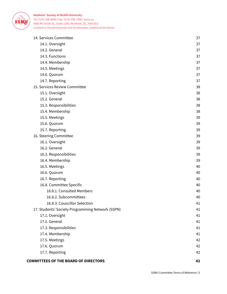

| 17.6. Quorum                                     | 42       |
|--------------------------------------------------|----------|
| 17.5. Meetings                                   | 42       |
| 17.3. Responsibilities<br>17.4. Membership       | 41<br>41 |
| 17.2. General                                    | 41       |
| 17.1. Oversight                                  | 41       |
| 17. Students' Society Programming Network (SSPN) | 41       |
| 16.8.3. Councillor Selection                     | 41       |
| 16.8.2. Subcommittees                            | 40       |
| 16.8.1. Consulted Members                        | 40       |
| 16.8. Committee Specific                         | 40       |
| 16.7. Reporting                                  | 40       |
| 16.6. Quorum                                     | 40       |
| 16.5. Meetings                                   | 40       |
| 16.4. Membership                                 | 39       |
| 16.3. Responsibilities                           | 39       |
| 16.2. General                                    | 39       |
| 16.1. Oversight                                  | 39       |
| 16. Steering Committee                           | 39       |
| 15.7. Reporting                                  | 39       |
| 15.6. Quorum                                     | 39       |
| 15.5. Meetings                                   | 39       |
| 15.4. Membership                                 | 38       |
| 15.3. Responsibilities                           | 38       |
| 15.2. General                                    | 38       |
| 15.1. Oversight                                  | 38       |
| 15. Services Review Committee                    | 38       |
| 14.7. Reporting                                  | 37       |
| 14.6. Quorum                                     | 37       |
| 14.5. Meetings                                   | 37       |
| 14.4. Membership                                 | 37       |
| 14.3. Functions                                  | 37       |
| 14.2. General                                    | 37       |
| 14.1. Oversight                                  | 37       |
| 14. Services Committee                           | 37       |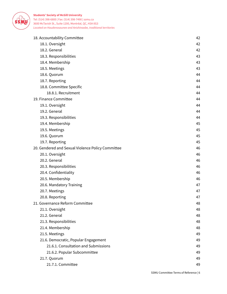

| 18. Accountability Committee                      | 42 |
|---------------------------------------------------|----|
| 18.1. Oversight                                   | 42 |
| 18.2. General                                     | 42 |
| 18.3. Responsibilities                            | 43 |
| 18.4. Membership                                  | 43 |
| 18.5. Meetings                                    | 43 |
| 18.6. Quorum                                      | 44 |
| 18.7. Reporting                                   | 44 |
| 18.8. Committee Specific                          | 44 |
| 18.8.1. Recruitment                               | 44 |
| 19. Finance Committee                             | 44 |
| 19.1. Oversight                                   | 44 |
| 19.2. General                                     | 44 |
| 19.3. Responsibilities                            | 44 |
| 19.4. Membership                                  | 45 |
| 19.5. Meetings                                    | 45 |
| 19.6. Quorum                                      | 45 |
| 19.7. Reporting                                   | 45 |
| 20. Gendered and Sexual Violence Policy Committee | 46 |
| 20.1. Oversight                                   | 46 |
| 20.2. General                                     | 46 |
| 20.3. Responsibilities                            | 46 |
| 20.4. Confidentiality                             | 46 |
| 20.5. Membership                                  | 46 |
| 20.6. Mandatory Training                          | 47 |
| 20.7. Meetings                                    | 47 |
| 20.8. Reporting                                   | 47 |
| 21. Governance Reform Committee                   | 48 |
| 21.1. Oversight                                   | 48 |
| 21.2. General                                     | 48 |
| 21.3. Responsibilities                            | 48 |
| 21.4. Membership                                  | 48 |
| 21.5. Meetings                                    | 49 |
| 21.6. Democratic, Popular Engagement              | 49 |
| 21.6.1. Consultation and Submissions              | 49 |
| 21.6.2. Popular Subcommittee                      | 49 |
| 21.7. Quorum                                      | 49 |
| 21.7.1. Committee                                 | 49 |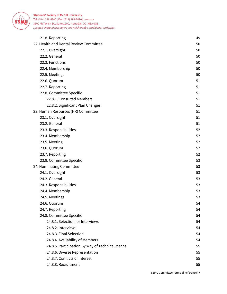

| 21.8. Reporting                                 | 49 |
|-------------------------------------------------|----|
| 22. Health and Dental Review Committee          | 50 |
| 22.1. Oversight                                 | 50 |
| 22.2. General                                   | 50 |
| 22.3. Functions                                 | 50 |
| 22.4. Membership                                | 50 |
| 22.5. Meetings                                  | 50 |
| 22.6. Quorum                                    | 51 |
| 22.7. Reporting                                 | 51 |
| 22.8. Committee Specific                        | 51 |
| 22.8.1. Consulted Members                       | 51 |
| 22.8.2. Significant Plan Changes                | 51 |
| 23. Human Resources (HR) Committee              | 51 |
| 23.1. Oversight                                 | 51 |
| 23.2. General                                   | 51 |
| 23.3. Responsibilities                          | 52 |
| 23.4. Membership                                | 52 |
| 23.5. Meeting                                   | 52 |
| 23.6. Quorum                                    | 52 |
| 23.7. Reporting                                 | 52 |
| 23.8. Committee Specific                        | 53 |
| 24. Nominating Committee                        | 53 |
| 24.1. Oversight                                 | 53 |
| 24.2. General                                   | 53 |
| 24.3. Responsibilities                          | 53 |
| 24.4. Membership                                | 53 |
| 24.5. Meetings                                  | 53 |
| 24.6. Quorum                                    | 54 |
| 24.7. Reporting                                 | 54 |
| 24.8. Committee Specific                        | 54 |
| 24.8.1. Selection for Interviews                | 54 |
| 24.8.2. Interviews                              | 54 |
| 24.8.3. Final Selection                         | 54 |
| 24.8.4. Availability of Members                 | 54 |
| 24.8.5. Participation By Way of Technical Means | 55 |
| 24.8.6. Diverse Representation                  | 55 |
| 24.8.7. Conflicts of Interest                   | 55 |
| 24.8.8. Recruitment                             | 55 |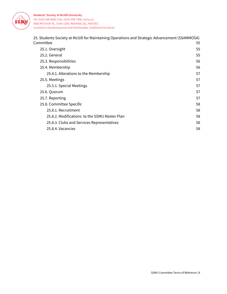

| 25. Students Society at McGill for Maintaining Operations and Strategic Advancement (SSAMMOSA) |    |
|------------------------------------------------------------------------------------------------|----|
| Committee                                                                                      | 55 |
| 25.1. Oversight                                                                                | 55 |
| 25.2. General                                                                                  | 55 |
| 25.3. Responsibilities                                                                         | 56 |
| 25.4. Membership                                                                               | 56 |
| 25.4.1. Alterations to the Membership                                                          | 57 |
| 25.5. Meetings                                                                                 | 57 |
| 25.5.1. Special Meetings                                                                       | 57 |
| 25.6. Quorum                                                                                   | 57 |
| 25.7. Reporting                                                                                | 57 |
| 25.8. Committee Specific                                                                       | 58 |
| 25.8.1. Recruitment                                                                            | 58 |
| 25.8.2. Modifications to the SSMU Master Plan                                                  | 58 |
| 25.8.3. Clubs and Services Representatives                                                     | 58 |
| 25.8.4. Vacancies                                                                              | 58 |
|                                                                                                |    |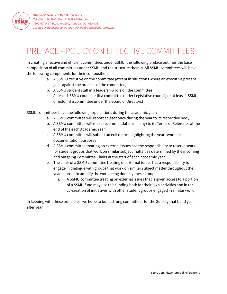# <span id="page-9-0"></span>PREFACE - POLICY ON EFFECTIVE COMMITTEES

In creating effective and efficient committees under SSMU, the following preface outlines the base composition of all committees under SSMU and the structure therein. All SSMU committees will have the following components for their composition:

- a. A SSMU Executive on the committee (except in situations where an executive present goes against the premise of the committee)
- b. A SSMU student staff in a leadership role on the committee
- c. At least 1 SSMU councilor (if a committee under Legislative council) or at least 1 SSMU director (if a committee under the Board of Directors)

SSMU committees have the following expectations during the academic year:

- a. A SSMU committee will report at least once during the year to its respective body
- b. A SSMU committee will make recommendations (if any) to its Terms of Reference at the end of the each Academic Year
- c. A SSMU committee will submit an exit report highlighting the years work for documentation purposes
- d. A SSMU committee treating on external issues has the responsibility to reserve seats for student groups that work on similar subject matter, as determined by the incoming and outgoing Committee Chairs at the start of each academic year
- e. The chair of a SSMU committee treating on external issues has a responsibility to engage in dialogue with groups that work on similar subject matter throughout the year in order to amplify the work being done by these groups
	- i. A SSMU committee treating on external issues that is given access to a portion of a SSMU fund may use this funding both for their own activities and in the co-creation of initiatives with other student groups engaged in similar work

In keeping with these principles, we hope to build strong committees for the Society that build year after year.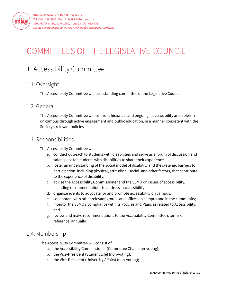

# <span id="page-10-0"></span>COMMITTEES OF THE LEGISLATIVE COUNCIL

# <span id="page-10-1"></span>1. Accessibility Committee

# <span id="page-10-2"></span>1.1. Oversight

The Accessibility Committee will be a standing committee of the Legislative Council.

### <span id="page-10-3"></span>1.2. General

The Accessibility Committee will confront historical and ongoing inaccessibility and ableism on campus through active engagement and public education, in a manner consistent with the Society's relevant policies.

# <span id="page-10-4"></span>1.3. Responsibilities

The Accessibility Committee will:

- a. conduct outreach to students with disabilities and serve as a forum of discussion and safer space for students with disabilities to share their experiences;
- b. foster an understanding of the social model of disability and the systemic barriers to participation, including physical, attitudinal, social, and other factors, that contribute to the experience of disability;
- c. advise the Accessibility Commissioner and the SSMU on issues of accessibility, including recommendations to address inaccessibility;
- d. organize events to advocate for and promote accessibility on campus;
- e. collaborate with other relevant groups and offices on campus and in the community;
- f. monitor the SSMU's compliance with its Policies and Plans as related to Accessibility; and
- g. review and make recommendations to the Accessibility Committee's terms of reference, annually.

# <span id="page-10-5"></span>1.4. Membership

The Accessibility Committee will consist of:

- a. the Accessibility Commissioner (Committee Chair, non-voting);
- b. the Vice-President (Student Life) (non-voting);
- c. the Vice-President (University Affairs) (non-voting);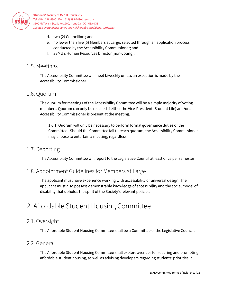

- d. two (2) Councillors; and
- e. no fewer than five (5) Members at Large, selected through an application process conducted by the Accessibility Commissioner; and
- f. SSMU's Human Resources Director (non-voting).

### <span id="page-11-0"></span>1.5. Meetings

The Accessibility Committee will meet biweekly unless an exception is made by the Accessibility Commissioner

# <span id="page-11-1"></span>1.6. Quorum

The quorum for meetings of the Accessibility Committee will be a simple majority of voting members. Quorum can only be reached if either the Vice-President (Student Life) and/or an Accessibility Commissioner is present at the meeting.

1.6.1. Quorum will only be necessary to perform formal governance duties of the Committee. Should the Committee fail to reach quorum, the Accessibility Commissioner may choose to entertain a meeting, regardless.

# <span id="page-11-2"></span>1.7. Reporting

The Accessibility Committee will report to the Legislative Council at least once per semester

# <span id="page-11-3"></span>1.8. Appointment Guidelines for Members at Large

The applicant must have experience working with accessibility or universal design. The applicant must also possess demonstrable knowledge of accessibility and the social model of disability that upholds the spirit of the Society's relevant policies.

# <span id="page-11-4"></span>2. Affordable Student Housing Committee

# <span id="page-11-5"></span>2.1. Oversight

The Affordable Student Housing Committee shall be a Committee of the Legislative Council.

# <span id="page-11-6"></span>2.2. General

The Affordable Student Housing Committee shall explore avenues for securing and promoting affordable student housing, as well as advising developers regarding students' priorities in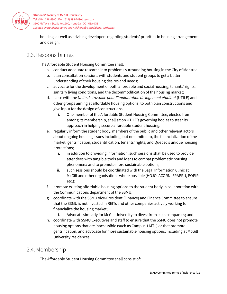

housing, as well as advising developers regarding students' priorities in housing arrangements and design.

# <span id="page-12-0"></span>2.3. Responsibilities

The Affordable Student Housing Committee shall:

- a. conduct adequate research into problems surrounding housing in the City of Montreal;
- b. plan consultation sessions with students and student groups to get a better understanding of their housing desires and needs;
- c. advocate for the development of both affordable and social housing, tenants' rights, sanitary living conditions, and the decommodification of the housing market;
- d. liaise with the *Unité de travaille pour l'implantation de logement étudiant* (UTILE) and other groups aiming at affordable housing options, to both plan constructions and give input for the design of constructions.
	- i. One member of the Affordable Student Housing Committee, elected from among its membership, shall sit on UTILE's governing bodies to steer its approach in helping secure affordable student housing.
- e. regularly inform the student body, members of the public and other relevant actors about ongoing housing issues including, but not limited to, the financialization of the market, gentrification, studentification, tenants' rights, and Quebec's unique housing protections;
	- i. in addition to providing information, such sessions shall be used to provide attendees with tangible tools and ideas to combat problematic housing phenomena and to promote more sustainable options;
	- ii. such sessions should be coordinated with the Legal Information Clinic at McGill and other organisations where possible (HOJO, ACORN, FRAPRU, POPIR, etc.);
- f. promote existing affordable housing options to the student body in collaboration with the Communications department of the SSMU;
- g. coordinate with the SSMU Vice-President (Finance) and Finance Committee to ensure that the SSMU is not invested in REITs and other companies actively working to financialize the housing market;
	- i. Advocate similarly for McGill University to divest from such companies; and
- h. coordinate with SSMU Executives and staff to ensure that the SSMU does not promote housing options that are inaccessible (such as Campus 1 MTL) or that promote gentrification, and advocate for more sustainable housing options, including at McGill University residences.

# <span id="page-12-1"></span>2.4. Membership

The Affordable Student Housing Committee shall consist of: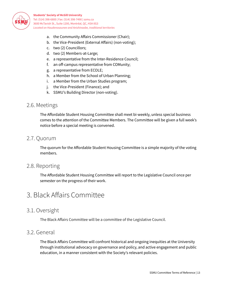

- a. the Community Affairs Commissioner (Chair);
- b. the Vice-President (External Affairs) (non-voting);
- c. two (2) Councillors;
- d. two (2) Members-at-Large;
- e. a representative from the Inter-Residence Council;
- f. an off-campus representative from COMunity;
- g. a representative from ECOLE;
- h. a Member from the School of Urban Planning;
- i. a Member from the Urban Studies program;
- j. the Vice-President (Finance); and
- k. SSMU's Building Director (non-voting).

#### <span id="page-13-0"></span>2.6. Meetings

The Affordable Student Housing Committee shall meet bi-weekly, unless special business comes to the attention of the Committee Members. The Committee will be given a full week's notice before a special meeting is convened.

#### <span id="page-13-1"></span>2.7. Quorum

The quorum for the Affordable Student Housing Committee is a simple majority of the voting members.

#### <span id="page-13-2"></span>2.8. Reporting

The Affordable Student Housing Committee will report to the Legislative Council once per semester on the progress of their work.

# <span id="page-13-3"></span>3. Black Affairs Committee

#### <span id="page-13-4"></span>3.1. Oversight

The Black Affairs Committee will be a committee of the Legislative Council.

#### <span id="page-13-5"></span>3.2. General

The Black Affairs Committee will confront historical and ongoing inequities at the University through institutional advocacy on governance and policy, and active engagement and public education, in a manner consistent with the Society's relevant policies.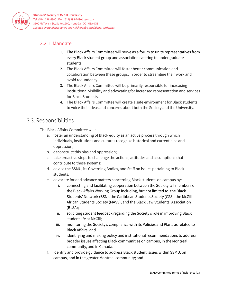

# <span id="page-14-0"></span>3.2.1. Mandate

- 1. The Black Affairs Committee will serve as a forum to unite representatives from every Black student group and association catering to undergraduate students.
- 2. The Black Affairs Committee will foster better communication and collaboration between these groups, in order to streamline their work and avoid redundancy.
- 3. The Black Affairs Committee will be primarily responsible for increasing institutional visibility and advocating for increased representation and services for Black Students.
- 4. The Black Affairs Committee will create a safe environment for Black students to voice their ideas and concerns about both the Society and the University.

### <span id="page-14-1"></span>3.3. Responsibilities

The Black Affairs Committee will:

- a. foster an understanding of Black equity as an active process through which individuals, institutions and cultures recognize historical and current bias and oppression;
- b. deconstruct this bias and oppression;
- c. take proactive steps to challenge the actions, attitudes and assumptions that contribute to these systems;
- d. advise the SSMU, its Governing Bodies, and Staff on issues pertaining to Black students;
- e. advocate for and advance matters concerning Black students on campus by:
	- i. connecting and facilitating cooperation between the Society, all members of the Black Affairs Working Group including, but not limited to, the Black Students' Network (BSN), the Caribbean Students Society (CSS), the McGill African Students Society (MASS), and the Black Law Students' Association (BLSA);
	- ii. soliciting student feedback regarding the Society's role in improving Black student life at McGill;
	- iii. monitoring the Society's compliance with its Policies and Plans as related to Black Affairs; and
	- iv. identifying and making policy and institutional recommendations to address broader issues affecting Black communities on campus, in the Montreal community, and in Canada.
- f. identify and provide guidance to address Black student issues within SSMU, on campus, and in the greater Montreal community; and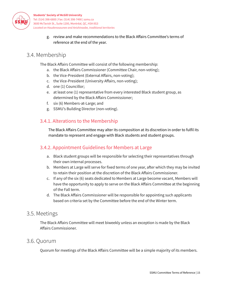

> g. review and make recommendations to the Black Affairs Committee's terms of reference at the end of the year.

# <span id="page-15-0"></span>3.4. Membership

The Black Affairs Committee will consist of the following membership:

- a. the Black Affairs Commissioner (Committee Chair, non-voting);
- b. the Vice-President (External Affairs, non-voting);
- c. the Vice-President (University Affairs, non-voting);
- d. one (1) Councillor;
- e. at least one (1) representative from every interested Black student group, as determined by the Black Affairs Commissioner;
- f. six (6) Members-at-Large; and
- g. SSMU's Building Director (non-voting).

#### <span id="page-15-1"></span>3.4.1. Alterations to the Membership

The Black Affairs Committee may alter its composition at its discretion in order to fulfil its mandate to represent and engage with Black students and student groups.

#### <span id="page-15-2"></span>3.4.2. Appointment Guidelines for Members at Large

- a. Black student groups will be responsible for selecting their representatives through their own internal processes.
- b. Members at Large will serve for fixed terms of one year, after which they may be invited to retain their position at the discretion of the Black Affairs Commissioner.
- c. If any of the six (6) seats dedicated to Members at Large become vacant, Members will have the opportunity to apply to serve on the Black Affairs Committee at the beginning of the Fall term.
- d. The Black Affairs Commissioner will be responsible for appointing such applicants based on criteria set by the Committee before the end of the Winter term.

#### <span id="page-15-3"></span>3.5. Meetings

The Black Affairs Committee will meet biweekly unless an exception is made by the Black Affairs Commissioner.

### <span id="page-15-4"></span>3.6. Quorum

Quorum for meetings of the Black Affairs Committee will be a simple majority of its members.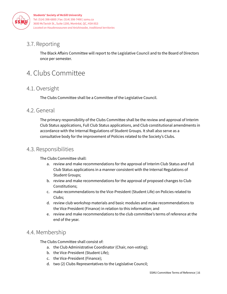

# <span id="page-16-0"></span>3.7. Reporting

The Black Affairs Committee will report to the Legislative Council and to the Board of Directors once per semester.

# <span id="page-16-1"></span>4. Clubs Committee

# <span id="page-16-2"></span>4.1. Oversight

The Clubs Committee shall be a Committee of the Legislative Council.

# <span id="page-16-3"></span>4.2. General

The primary responsibility of the Clubs Committee shall be the review and approval of Interim Club Status applications, Full Club Status applications, and Club constitutional amendments in accordance with the Internal Regulations of Student Groups. It shall also serve as a consultative body for the improvement of Policies related to the Society's Clubs.

# <span id="page-16-4"></span>4.3. Responsibilities

The Clubs Committee shall:

- a. review and make recommendations for the approval of Interim Club Status and Full Club Status applications in a manner consistent with the Internal Regulations of Student Groups;
- b. review and make recommendations for the approval of proposed changes to Club Constitutions;
- c. make recommendations to the Vice-President (Student Life) on Policies related to Clubs;
- d. review club workshop materials and basic modules and make recommendations to the Vice President (Finance) in relation to this information; and
- e. review and make recommendations to the club committee's terms of reference at the end of the year.

# <span id="page-16-5"></span>4.4. Membership

The Clubs Committee shall consist of:

- a. the Club Administrative Coordinator (Chair, non-voting);
- b. the Vice-President (Student Life);
- c. the Vice-President (Finance);
- d. two (2) Clubs Representatives to the Legislative Council;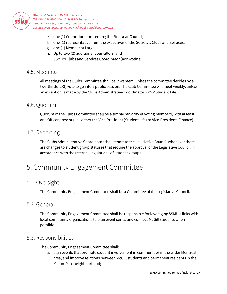

- e. one (1) Councillor representing the First Year Council;
- f. one (1) representative from the executives of the Society's Clubs and Services;
- g. one (1) Member at Large;
- h. Up to two (2) additional Councillors; and
- i. SSMU's Clubs and Services Coordinator (non-voting).

#### <span id="page-17-0"></span>4.5. Meetings

All meetings of the Clubs Committee shall be in-camera, unless the committee decides by a two-thirds (2/3) vote to go into a public session. The Club Committee will meet weekly, unless an exception is made by the Clubs Administrative Coordinator, or VP Student Life.

#### <span id="page-17-1"></span>4.6. Quorum

Quorum of the Clubs Committee shall be a simple majority of voting members, with at least one Officer present (i.e., either the Vice-President (Student Life) or Vice-President (Finance).

#### <span id="page-17-2"></span>4.7. Reporting

The Clubs Administrative Coordinator shall report to the Legislative Council whenever there are changes to student group statuses that require the approval of the Legislative Council in accordance with the Internal Regulations of Student Groups.

# <span id="page-17-3"></span>5. Community Engagement Committee

# <span id="page-17-4"></span>5.1. Oversight

The Community Engagement Committee shall be a Committee of the Legislative Council.

### <span id="page-17-5"></span>5.2. General

The Community Engagement Committee shall be responsible for leveraging SSMU's links with local community organizations to plan event series and connect McGill students when possible.

### <span id="page-17-6"></span>5.3. Responsibilities

The Community Engagement Committee shall:

a. plan events that promote student involvement in communities in the wider Montreal area, and improve relations between McGill students and permanent residents in the Milton-Parc neighbourhood;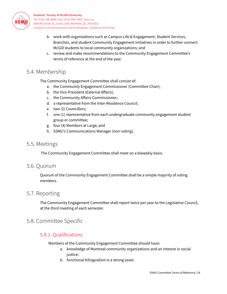

- b. work with organizations such as Campus Life & Engagement, Student Services, Branches, and student Community Engagement initiatives in order to further connect McGill students to local community organizations; and
- c. review and make recommendations to the Community Engagement Committee's terms of reference at the end of the year.

# <span id="page-18-0"></span>5.4. Membership

The Community Engagement Committee shall consist of:

- a. the Community Engagement Commissioner (Committee Chair);
- b. the Vice-President (External Affairs);
- c. the Community Affairs Commissioner;
- d. a representative from the Inter-Residence Council;
- e. two (2) Councillors;
- f. one (1) representative from each undergraduate community engagement student group or committee;
- g. four (4) Members at Large; and
- h. SSMU's Communications Manager (non-voting).

#### <span id="page-18-1"></span>5.5. Meetings

The Community Engagement Committee shall meet on a biweekly basis.

#### <span id="page-18-2"></span>5.6. Quorum

Quorum of the Community Engagement Committee shall be a simple majority of voting members.

#### <span id="page-18-3"></span>5.7. Reporting

The Community Engagement Committee shall report twice per year to the Legislative Council, at the third meeting of each semester.

### <span id="page-18-5"></span><span id="page-18-4"></span>5.8. Committee Specific

#### 5.8.1. Qualifications

Members of the Community Engagement Committee should have:

- a. knowledge of Montreal community organizations and an interest in social justice;
- b. functional bilingualism is a strong asset.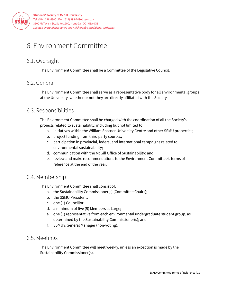

# <span id="page-19-0"></span>6. Environment Committee

# <span id="page-19-1"></span>6.1. Oversight

The Environment Committee shall be a Committee of the Legislative Council.

# <span id="page-19-2"></span>6.2. General

The Environment Committee shall serve as a representative body for all environmental groups at the University, whether or not they are directly affiliated with the Society.

# <span id="page-19-3"></span>6.3. Responsibilities

The Environment Committee shall be charged with the coordination of all the Society's projects related to sustainability, including but not limited to:

- a. initiatives within the William Shatner University Centre and other SSMU properties;
- b. project funding from third party sources;
- c. participation in provincial, federal and international campaigns related to environmental sustainability;
- d. communication with the McGill Office of Sustainability; and
- e. review and make recommendations to the Environment Committee's terms of reference at the end of the year.

# <span id="page-19-4"></span>6.4. Membership

The Environment Committee shall consist of:

- a. the Sustainability Commissioner(s) (Committee Chairs);
- b. the SSMU President;
- c. one (1) Councillor;
- d. a minimum of five (5) Members at Large;
- e. one (1) representative from each environmental undergraduate student group, as determined by the Sustainability Commissioner(s); and
- f. SSMU's General Manager (non-voting).

### <span id="page-19-5"></span>6.5. Meetings

The Environment Committee will meet weekly, unless an exception is made by the Sustainability Commissioner(s).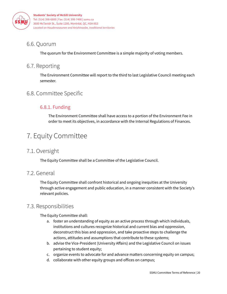

# <span id="page-20-0"></span>6.6. Quorum

The quorum for the Environment Committee is a simple majority of voting members.

# <span id="page-20-1"></span>6.7. Reporting

The Environment Committee will report to the third to last Legislative Council meeting each semester.

# <span id="page-20-3"></span><span id="page-20-2"></span>6.8. Committee Specific

# 6.8.1. Funding

The Environment Committee shall have access to a portion of the Environment Fee in order to meet its objectives, in accordance with the Internal Regulations of Finances.

# <span id="page-20-4"></span>7. Equity Committee

# <span id="page-20-5"></span>7.1. Oversight

The Equity Committee shall be a Committee of the Legislative Council.

# <span id="page-20-6"></span>7.2. General

The Equity Committee shall confront historical and ongoing inequities at the University through active engagement and public education, in a manner consistent with the Society's relevant policies.

# <span id="page-20-7"></span>7.3. Responsibilities

The Equity Committee shall:

- a. foster an understanding of equity as an active process through which individuals, institutions and cultures recognize historical and current bias and oppression, deconstruct this bias and oppression, and take proactive steps to challenge the actions, attitudes and assumptions that contribute to these systems;
- b. advise the Vice-President (University Affairs) and the Legislative Council on issues pertaining to student equity;
- c. organize events to advocate for and advance matters concerning equity on campus;
- d. collaborate with other equity groups and offices on campus;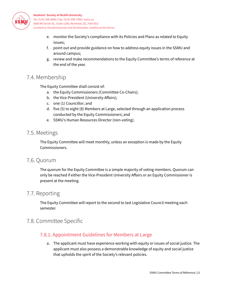

- e. monitor the Society's compliance with its Policies and Plans as related to Equity issues;
- f. point out and provide guidance on how to address equity issues in the SSMU and around campus;
- g. review and make recommendations to the Equity Committee's terms of reference at the end of the year.

# <span id="page-21-0"></span>7.4. Membership

The Equity Committee shall consist of:

- a. the Equity Commissioners (Committee Co-Chairs);
- b. the Vice-President (University Affairs);
- c. one (1) Councillor; and
- d. five (5) to eight (8) Members at Large, selected through an application process conducted by the Equity Commissioners; and
- e. SSMU's Human Resources Director (non-voting).

#### <span id="page-21-1"></span>7.5. Meetings

The Equity Committee will meet monthly, unless an exception is made by the Equity Commissioners.

#### <span id="page-21-2"></span>7.6. Quorum

The quorum for the Equity Committee is a simple majority of voting members. Quorum can only be reached if either the Vice-President University Affairs or an Equity Commissioner is present at the meeting.

### <span id="page-21-3"></span>7.7. Reporting

The Equity Committee will report to the second to last Legislative Council meeting each semester.

# <span id="page-21-5"></span><span id="page-21-4"></span>7.8. Committee Specific

#### 7.8.1. Appointment Guidelines for Members at Large

a. The applicant must have experience working with equity or issues of social justice. The applicant must also possess a demonstrable knowledge of equity and social justice that upholds the spirit of the Society's relevant policies.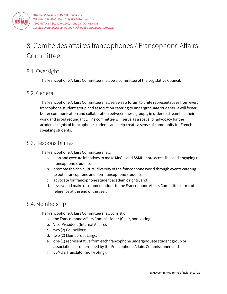

# <span id="page-22-0"></span>8. Comité des affaires francophones / Francophone Affairs Committee

# <span id="page-22-1"></span>8.1. Oversight

The Francophone Affairs Committee shall be a committee of the Legislative Council.

# <span id="page-22-2"></span>8.2. General

The Francophone Affairs Committee shall serve as a forum to unite representatives from every francophone student group and association catering to undergraduate students. It will foster better communication and collaboration between these groups, in order to streamline their work and avoid redundancy. The committee will serve as a space for advocacy for the academic rights of francophone students and help create a sense of community for French speaking students.

# 8.3. Responsibilities

The Francophone Affairs Committee shall:

- a. plan and execute initiatives to make McGill and SSMU more accessible and engaging to francophone students;
- b. promote the rich cultural diversity of the francophone world through events catering to both francophone and non-francophone students;
- c. advocate for francophone student academic rights; and
- d. review and make recommendations to the Francophone Affairs Committee terms of reference at the end of the year.

# 8.4. Membership

The Francophone Affairs Committee shall consist of:

- a. the Francophone Affairs Commissioner (Chair, non-voting);
- b. Vice-President (Internal Affairs);
- c. two (2) Councillors;
- d. two (2) Members at Large;
- e. one (1) representative from each francophone undergraduate student group or association, as determined by the Francophone Affairs Commissioner; and
- f. SSMU's Translator (non-voting).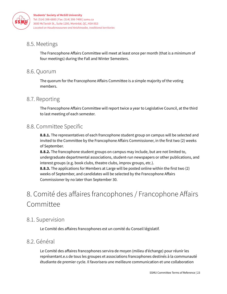

# 8.5. Meetings

The Francophone Affairs Committee will meet at least once per month (that is a minimum of four meetings) during the Fall and Winter Semesters.

# 8.6. Quorum

The quorum for the Francophone Affairs Committee is a simple majority of the voting members.

# <span id="page-23-0"></span>8.7. Reporting

The Francophone Affairs Committee will report twice a year to Legislative Council, at the third to last meeting of each semester.

# <span id="page-23-1"></span>8.8. Committee Specific

**8.8.1.** The representatives of each francophone student group on campus will be selected and invited to the Committee by the Francophone Affairs Commissioner, in the first two (2) weeks of September.

**8.8.2.** The francophone student groups on campus may include, but are not limited to, undergraduate departmental associations, student-run newspapers or other publications, and interest groups (e.g. book clubs, theatre clubs, improv groups, etc.).

**8.8.3.** The applications for Members at Large will be posted online within the first two (2) weeks of September, and candidates will be selected by the Francophone Affairs Commissioner by no later than September 30.

# <span id="page-23-2"></span>8. Comité des affaires francophones / Francophone Affairs Committee

# <span id="page-23-3"></span>8.1. Supervision

Le Comité des affaires francophones est un comité du Conseil législatif.

# <span id="page-23-4"></span>8.2. Général

Le Comité des affaires francophones servira de moyen (milieu d'échange) pour réunir les représentant.e.s de tous les groupes et associations francophones destinés à la communauté étudiante de premier cycle. Il favorisera une meilleure communication et une collaboration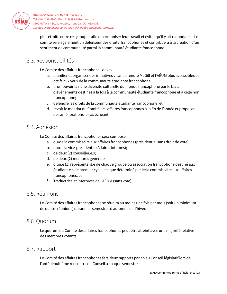

plus étroite entre ces groupes afin d'harmoniser leur travail et éviter qu'il y ait redondance. Le comité sera également un défenseur des droits francophones et contribuera à la création d'un sentiment de communauté parmi la communauté étudiante francophone.

# <span id="page-24-0"></span>8.3. Responsabilités

Le Comité des affaires francophones devra :

- a. planifier et organiser des initiatives visant à rendre McGill et l'AÉUM plus accessibles et actifs aux yeux de la communauté étudiante francophone;
- b. promouvoir la riche diversité culturelle du monde francophone par le biais d'événements destinés à la fois à la communauté étudiante francophone et à celle non francophone;
- c. défendre les droits de la communauté étudiante francophone; et
- d. revoir le mandat du Comité des affaires francophones à la fin de l'année et proposer des améliorations le cas échéant.

### <span id="page-24-1"></span>8.4. Adhésion

Le Comité des affaires francophones sera composé :

- a. du/de la commissaire aux affaires francophones (président.e, sans droit de vote);
- b. du/de la vice-président.e (Affaires internes);
- c. de deux (2) conseiller.e.s;
- d. de deux (2) membres généraux;
- e. d'un.e (1) représentant.e de chaque groupe ou association francophone destiné aux étudiant.e.s de premier cycle, tel que déterminé par le/la commissaire aux affaires francophones; et
- f. Traductrice et interprète de l'AÉUM (sans vote).

#### <span id="page-24-2"></span>8.5. Réunions

Le Comité des affaires francophones se réunira au moins une fois par mois (soit un minimum de quatre réunions) durant les semestres d'automne et d'hiver.

#### <span id="page-24-3"></span>8.6. Quorum

Le quorum du Comité des affaires francophones peut être atteint avec une majorité relative des membres votants.

#### <span id="page-24-4"></span>8.7. Rapport

Le Comité des affaires francophones fera deux rapports par an au Conseil législatif lors de l'antépénultième rencontre du Conseil à chaque semestre.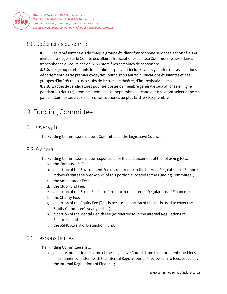

# <span id="page-25-0"></span>8.8. Spécificités du comité

**8.8.1.** Les représentant.e.s de chaque groupe étudiant francophone seront sélectionné.e.s et invité.e.s à siéger sur le Comité des affaires francophones par le.a Commissaire aux affaires francophones au cours des deux (2) premières semaines de septembre.

**8.8.2.** Les groupes étudiants francophones peuvent inclure, sans s'y limiter, des associations départementales de premier cycle, des journaux ou autres publications étudiantes et des groupes d'intérêt (p. ex. des clubs de lecture, de théâtre, d'improvisation, etc.).

**8.8.3.** L'appel de candidatures pour les postes de membre général.e sera affichée en ligne pendant les deux (2) premières semaines de septembre; les candidat.e.s seront sélectionné.e.s par le.a Commissaire aux affaires francophones au plus tard le 30 septembre.

# <span id="page-25-1"></span>9. Funding Committee

# 9.1. Oversight

The Funding Committee shall be a Committee of the Legislative Council.

#### 9.2. General

The Funding Committee shall be responsible for the disbursement of the following fees:

- a. the Campus Life Fee;
- b. a portion of the Environment Fee (as referred to in the Internal Regulations of Finances it doesn't state the breakdown of this portion allocated to the Funding Committee);
- c. the Ambassador Fee;
- d. the Club Fund Fee;
- e. a portion of the Space Fee (as referred to in the Internal Regulations of Finances);
- f. the Charity Fee;
- g. a portion of the Equity Fee (This is because a portion of this fee is used to cover the Equity Committee's yearly deficit);
- h. a portion of the Mental Health Fee (as referred to in the Internal Regulations of Finances); and
- i. the SSMU Award of Distinction Fund.

### 9.3. Responsibilities

The Funding Committee shall:

a. allocate monies in the name of the Legislative Council from the aforementioned fees, in a manner consistent with the Internal Regulations as they pertain to fees, especially the Internal Regulations of Finances;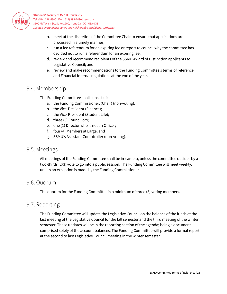

- b. meet at the discretion of the Committee Chair to ensure that applications are processed in a timely manner;
- c. run a fee referendum for an expiring fee or report to council why the committee has decided not to run a referendum for an expiring fee;
- d. review and recommend recipients of the SSMU Award of Distinction applicants to Legislative Council; and
- e. review and make recommendations to the Funding Committee's terms of reference and Financial Internal regulations at the end of the year.

# 9.4. Membership

The Funding Committee shall consist of:

- a. the Funding Commissioner, (Chair) (non-voting);
- b. the Vice-President (Finance);
- c. the Vice-President (Student Life);
- d. three (3) Councillors;
- e. one (1) Director who is not an Officer;
- f. four (4) Members at Large; and
- g. SSMU's Assistant Comptroller (non-voting).

### 9.5. Meetings

All meetings of the Funding Committee shall be in-camera, unless the committee decides by a two-thirds (2/3) vote to go into a public session. The Funding Committee will meet weekly, unless an exception is made by the Funding Commissioner.

#### 9.6. Quorum

The quorum for the Funding Committee is a minimum of three (3) voting members.

### 9.7. Reporting

The Funding Committee will update the Legislative Council on the balance of the funds at the last meeting of the Legislative Council for the fall semester and the third meeting of the winter semester. These updates will be in the reporting section of the agenda; being a document comprised solely of the account balances. The Funding Committee will provide a formal report at the second to last Legislative Council meeting in the winter semester.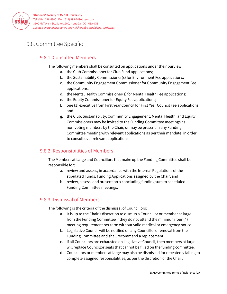

# <span id="page-27-1"></span><span id="page-27-0"></span>9.8. Committee Specific

### 9.8.1. Consulted Members

The following members shall be consulted on applications under their purview:

- a. the Club Commissioner for Club Fund applications;
- b. the Sustainability Commissioner(s) for Environment Fee applications;
- c. the Community Engagement Commissioner for Community Engagement Fee applications;
- d. the Mental Health Commissioner(s) for Mental Health Fee applications;
- e. the Equity Commissioner for Equity Fee applications;
- f. one (1) executive from First Year Council for First Year Council Fee applications; and
- g. the Club, Sustainability, Community Engagement, Mental Health, and Equity Commissioners may be invited to the Funding Committee meetings as non-voting members by the Chair, or may be present in any Funding Committee meeting with relevant applications as per their mandate, in order to consult over relevant applications.

#### <span id="page-27-2"></span>9.8.2. Responsibilities of Members

The Members at Large and Councillors that make up the Funding Committee shall be responsible for:

- a. review and assess, in accordance with the Internal Regulations of the stipulated Funds, Funding Applications assigned by the Chair; and
- b. review, assess, and present on a concluding funding sum to scheduled Funding Committee meetings.

#### <span id="page-27-3"></span>9.8.3. Dismissal of Members

The following is the criteria of the dismissal of Councillors:

- a. It is up to the Chair's discretion to dismiss a Councillor or member at large from the Funding Committee if they do not attend the minimum four (4) meeting requirement per term without valid medical or emergency notice.
- b. Legislative Council will be notified on any Councillors' removal from the Funding Committee and shall recommend a replacement.
- c. If all Councilors are exhausted on Legislative Council, then members at large will replace Councillor seats that cannot be filled on the funding committee.
- d. Councillors or members at large may also be dismissed for repeatedly failing to complete assigned responsibilities, as per the discretion of the Chair.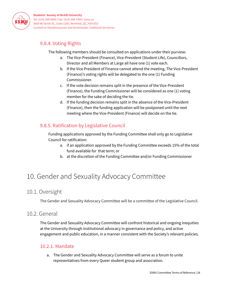

### <span id="page-28-0"></span>9.8.4. Voting Rights

The following members should be consulted on applications under their purview:

- a. The Vice-President (Finance), Vice-President (Student Life), Councillors, Director and all Members at Large all have one (1) vote each.
- b. If the Vice President of Finance cannot attend the meeting, The Vice-President (Finance)'s voting rights will be delegated to the one (1) Funding Commissioner.
- c. If the vote decision remains split in the presence of the Vice-President (Finance), the Funding Commissioner will be considered as one (1) voting member for the sake of deciding the tie.
- d. If the funding decision remains split in the absence of the Vice-President (Finance), then the funding application will be postponed until the next meeting where the Vice-President (Finance) will decide on the tie.

# <span id="page-28-1"></span>9.8.5. Ratification by Legislative Council

Funding applications approved by the Funding Committee shall only go to Legislative Council for ratification:

- a. if an application approved by the Funding Committee exceeds 15% of the total fund available for that term; or
- b. at the discretion of the Funding Committee and/or Funding Commissioner

# <span id="page-28-2"></span>10. Gender and Sexuality Advocacy Committee

# <span id="page-28-3"></span>10.1. Oversight

The Gender and Sexuality Advocacy Committee will be a committee of the Legislative Council.

### <span id="page-28-4"></span>10.2. General

The Gender and Sexuality Advocacy Committee will confront historical and ongoing inequities at the University through institutional advocacy in governance and policy, and active engagement and public education, in a manner consistent with the Society's relevant policies.

#### <span id="page-28-5"></span>10.2.1. Mandate

a. The Gender and Sexuality Advocacy Committee will serve as a forum to unite representatives from every Queer student group and association.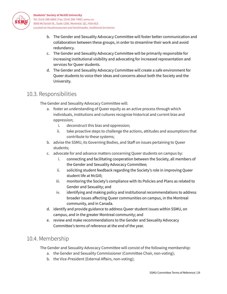

- b. The Gender and Sexuality Advocacy Committee will foster better communication and collaboration between these groups, in order to streamline their work and avoid redundancy.
- c. The Gender and Sexuality Advocacy Committee will be primarily responsible for increasing institutional visibility and advocating for increased representation and services for Queer students.
- d. The Gender and Sexuality Advocacy Committee will create a safe environment for Queer students to voice their ideas and concerns about both the Society and the University.

# <span id="page-29-0"></span>10.3. Responsibilities

The Gender and Sexuality Advocacy Committee will:

- a. foster an understanding of Queer equity as an active process through which individuals, institutions and cultures recognize historical and current bias and oppression;
	- i. deconstruct this bias and oppression;
	- ii. take proactive steps to challenge the actions, attitudes and assumptions that contribute to these systems;
- b. advise the SSMU, its Governing Bodies, and Staff on issues pertaining to Queer students;
- c. advocate for and advance matters concerning Queer students on campus by:
	- i. connecting and facilitating cooperation between the Society, all members of the Gender and Sexuality Advocacy Committee;
	- ii. soliciting student feedback regarding the Society's role in improving Queer student life at McGill;
	- iii. monitoring the Society's compliance with its Policies and Plans as related to Gender and Sexuality; and
	- iv. identifying and making policy and institutional recommendations to address broader issues affecting Queer communities on campus, in the Montreal community, and in Canada.
- d. identify and provide guidance to address Queer student issues within SSMU, on campus, and in the greater Montreal community; and
- e. review and make recommendations to the Gender and Sexuality Advocacy Committee's terms of reference at the end of the year.

### <span id="page-29-1"></span>10.4. Membership

The Gender and Sexuality Advocacy Committee will consist of the following membership:

- a. the Gender and Sexuality Commissioner (Committee Chair, non-voting);
- b. the Vice-President (External Affairs, non-voting);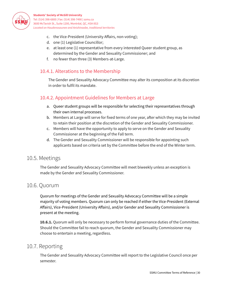

- c. the Vice-President (University Affairs, non-voting);
- d. one (1) Legislative Councillor;
- e. at least one (1) representative from every interested Queer student group, as determined by the Gender and Sexuality Commissioner; and
- f. no fewer than three (3) Members-at-Large.

#### <span id="page-30-0"></span>10.4.1. Alterations to the Membership

The Gender and Sexuality Advocacy Committee may alter its composition at its discretion in order to fulfil its mandate.

#### <span id="page-30-1"></span>10.4.2. Appointment Guidelines for Members at Large

- a. Queer student groups will be responsible for selecting their representatives through their own internal processes.
- b. Members at Large will serve for fixed terms of one year, after which they may be invited to retain their position at the discretion of the Gender and Sexuality Commissioner.
- c. Members will have the opportunity to apply to serve on the Gender and Sexuality Commissioner at the beginning of the Fall term.
- d. The Gender and Sexuality Commissioner will be responsible for appointing such applicants based on criteria set by the Committee before the end of the Winter term.

#### <span id="page-30-2"></span>10.5. Meetings

The Gender and Sexuality Advocacy Committee will meet biweekly unless an exception is made by the Gender and Sexuality Commissioner.

### <span id="page-30-3"></span>10.6. Quorum

Quorum for meetings of the Gender and Sexuality Advocacy Committee will be a simple majority of voting members. Quorum can only be reached if either the Vice-President (External Affairs), Vice-President (University Affairs), and/or Gender and Sexuality Commissioner is present at the meeting.

**10.6.1.** Quorum will only be necessary to perform formal governance duties of the Committee. Should the Committee fail to reach quorum, the Gender and Sexuality Commissioner may choose to entertain a meeting, regardless.

### <span id="page-30-4"></span>10.7. Reporting

The Gender and Sexuality Advocacy Committee will report to the Legislative Council once per semester.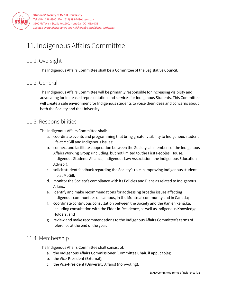

# <span id="page-31-0"></span>11. Indigenous Affairs Committee

# 11.1. Oversight

The Indigenous Affairs Committee shall be a Committee of the Legislative Council.

# 11.2. General

The Indigenous Affairs Committee will be primarily responsible for increasing visibility and advocating for increased representation and services for Indigenous Students. This Committee will create a safe environment for Indigenous students to voice their ideas and concerns about both the Society and the University

# 11.3. Responsibilities

The Indigenous Affairs Committee shall:

- a. coordinate events and programming that bring greater visibility to Indigenous student life at McGill and Indigenous issues;
- b. connect and facilitate cooperation between the Society, all members of the Indigenous Affairs Working Group (including, but not limited to, the First Peoples' House, Indigenous Students Alliance, Indigenous Law Association, the Indigenous Education Advisor);
- c. solicit student feedback regarding the Society's role in improving Indigenous student life at McGill;
- d. monitor the Society's compliance with its Policies and Plans as related to Indigenous Affairs;
- e. identify and make recommendations for addressing broader issues affecting Indigenous communities on campus, in the Montreal community and in Canada;
- f. coordinate continuous consultation between the Society and the Kanien'kehá:ka, including consultation with the Elder-in-Residence, as well as Indigenous Knowledge Holders; and
- g. review and make recommendations to the Indigenous Affairs Committee's terms of reference at the end of the year.

# 11.4. Membership

The Indigenous Affairs Committee shall consist of:

- a. the Indigenous Affairs Commissioner (Committee Chair, if applicable);
- b. the Vice-President (External);
- c. the Vice-President (University Affairs) (non-voting);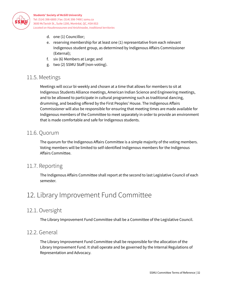

- d. one (1) Councillor;
- e. reserving membership for at least one (1) representative from each relevant Indigenous student group, as determined by Indigenous Affairs Commissioner (External);
- f. six (6) Members at Large; and
- g. two (2) SSMU Staff (non-voting).

### 11.5. Meetings

Meetings will occur bi-weekly and chosen at a time that allows for members to sit at Indigenous Students Alliance meetings, American Indian Science and Engineering meetings, and to be allowed to participate in cultural programming such as traditional dancing, drumming, and beading offered by the First Peoples' House. The Indigenous Affairs Commissioner will also be responsible for ensuring that meeting times are made available for Indigenous members of the Committee to meet separately in order to provide an environment that is made comfortable and safe for Indigenous students.

# 11.6. Quorum

The quorum for the Indigenous Affairs Committee is a simple majority of the voting members. Voting members will be limited to self-identified Indigenous members for the Indigenous Affairs Committee.

# <span id="page-32-0"></span>11.7. Reporting

The Indigenous Affairs Committee shall report at the second to last Legislative Council of each semester.

# <span id="page-32-1"></span>12. Library Improvement Fund Committee

# 12.1. Oversight

The Library Improvement Fund Committee shall be a Committee of the Legislative Council.

### 12.2. General

The Library Improvement Fund Committee shall be responsible for the allocation of the Library Improvement Fund. It shall operate and be governed by the Internal Regulations of Representation and Advocacy.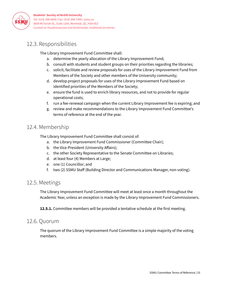

# 12.3. Responsibilities

The Library Improvement Fund Committee shall:

- a. determine the yearly allocation of the Library Improvement Fund;
- b. consult with students and student groups on their priorities regarding the libraries;
- c. solicit, facilitate and review proposals for uses of the Library Improvement Fund from Members of the Society and other members of the University community;
- d. develop project proposals for uses of the Library Improvement Fund based on identified priorities of the Members of the Society;
- e. ensure the fund is used to enrich library resources, and not to provide for regular operational costs;
- f. run a fee-renewal campaign when the current Library Improvement fee is expiring; and
- g. review and make recommendations to the Library Improvement Fund Committee's terms of reference at the end of the year.

# 12.4. Membership

The Library Improvement Fund Committee shall consist of:

- a. the Library Improvement Fund Commissioner (Committee Chair);
- b. the Vice-President (University Affairs);
- c. the other Society Representative to the Senate Committee on Libraries;
- d. at least four (4) Members at Large;
- e. one (1) Councillor; and
- f. two (2) SSMU Staff (Building Director and Communications Manager, non-voting).

#### 12.5. Meetings

The Library Improvement Fund Committee will meet at least once a month throughout the Academic Year, unless an exception is made by the Library Improvement Fund Commissioners.

**12.5.1.** Committee members will be provided a tentative schedule at the first meeting.

#### 12.6. Quorum

The quorum of the Library Improvement Fund Committee is a simple majority of the voting members.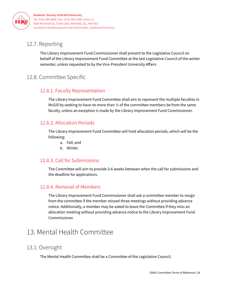

# 12.7. Reporting

The Library Improvement Fund Commissioner shall present to the Legislative Council on behalf of the Library Improvement Fund Committee at the last Legislative Council of the winter semester, unless requested to by the Vice-President University Affairs

# <span id="page-34-1"></span><span id="page-34-0"></span>12.8. Committee Specific

#### 12.8.1. Faculty Representation

The Library Improvement Fund Committee shall aim to represent the multiple faculties in McGill by seeking to have no more than ⅓ of the committee members be from the same faculty, unless an exception is made by the Library Improvement Fund Commissioner.

#### <span id="page-34-2"></span>12.8.2. Allocation Periods

The Library Improvement Fund Committee will hold allocation periods, which will be the following:

- a. Fall; and
- b. Winter.

#### <span id="page-34-3"></span>12.8.3. Call for Submissions

The Committee will aim to provide 3-6 weeks between when the call for submissions and the deadline for applications.

#### <span id="page-34-4"></span>12.8.4. Removal of Members

The Library Improvement Fund Commissioner shall ask a committee member to resign from the committee if the member missed three meetings without providing advance notice. Additionally, a member may be asked to leave the Committee if they miss an allocation meeting without providing advance notice to the Library Improvement Fund Commissioner.

# <span id="page-34-5"></span>13. Mental Health Committee

### 13.1. Oversight

The Mental Health Committee shall be a Committee of the Legislative Council.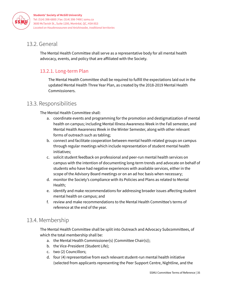

# <span id="page-35-0"></span>13.2. General

The Mental Health Committee shall serve as a representative body for all mental health advocacy, events, and policy that are affiliated with the Society.

#### <span id="page-35-1"></span>13.2.1. Long-term Plan

The Mental Health Committee shall be required to fulfill the expectations laid out in the updated Mental Health Three Year Plan, as created by the 2018-2019 Mental Health Commissioners.

# 13.3. Responsibilities

The Mental Health Committee shall:

- a. coordinate events and programming for the promotion and destigmatization of mental health on campus; including Mental Illness Awareness Week in the Fall semester, and Mental Health Awareness Week in the Winter Semester, along with other relevant forms of outreach such as tabling;
- b. connect and facilitate cooperation between mental health related groups on campus through regular meetings which include representation of student mental health initiatives;
- c. solicit student feedback on professional and peer-run mental health services on campus with the intention of documenting long-term trends and advocate on behalf of students who have had negative experiences with available services, either in the scope of the Advisory Board meetings or on an ad hoc basis when necessary;
- d. monitor the Society's compliance with its Policies and Plans as related to Mental Health;
- e. identify and make recommendations for addressing broader issues affecting student mental health on campus; and
- f. review and make recommendations to the Mental Health Committee's terms of reference at the end of the year.

# 13.4. Membership

The Mental Health Committee shall be split into Outreach and Advocacy Subcommittees, of which the total membership shall be:

- a. the Mental Health Commissioner(s) (Committee Chair(s));
- b. the Vice-President (Student Life);
- c. two (2) Councillors;
- d. four (4) representative from each relevant student-run mental health initiative (selected from applicants representing the Peer Support Centre, Nightline, and the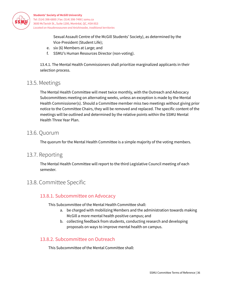

> Sexual Assault Centre of the McGill Students' Society), as determined by the Vice-President (Student Life);

- e. six (6) Members at Large; and
- f. SSMU's Human Resources Director (non-voting).

13.4.1. The Mental Health Commissioners shall prioritize marginalized applicants in their selection process.

#### 13.5. Meetings

The Mental Health Committee will meet twice monthly, with the Outreach and Advocacy Subcommittees meeting on alternating weeks, unless an exception is made by the Mental Health Commissioner(s). Should a Committee member miss two meetings without giving prior notice to the Committee Chairs, they will be removed and replaced. The specific content of the meetings will be outlined and determined by the relative points within the SSMU Mental Health Three Year Plan.

#### 13.6. Quorum

The quorum for the Mental Health Committee is a simple majority of the voting members.

### <span id="page-36-0"></span>13.7. Reporting

The Mental Health Committee will report to the third Legislative Council meeting of each semester.

### <span id="page-36-2"></span><span id="page-36-1"></span>13.8. Committee Specific

#### 13.8.1. Subcommittee on Advocacy

This Subcommittee of the Mental Health Committee shall:

- a. be charged with mobilizing Members and the administration towards making McGill a more mental health positive campus; and
- b. collecting feedback from students, conducting research and developing proposals on ways to improve mental health on campus.

#### <span id="page-36-3"></span>13.8.2. Subcommittee on Outreach

This Subcommittee of the Mental Committee shall: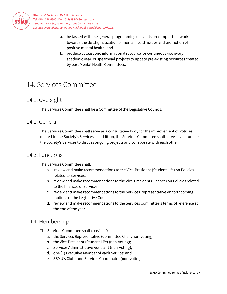

- a. be tasked with the general programming of events on campus that work towards the de-stigmatization of mental health issues and promotion of positive mental health; and
- b. produce at least one informational resource for continuous use every academic year, or spearhead projects to update pre-existing resources created by past Mental Health Committees.

# <span id="page-37-0"></span>14. Services Committee

# <span id="page-37-1"></span>14.1. Oversight

The Services Committee shall be a Committee of the Legislative Council.

# <span id="page-37-2"></span>14.2. General

The Services Committee shall serve as a consultative body for the improvement of Policies related to the Society's Services. In addition, the Services Committee shall serve as a forum for the Society's Services to discuss ongoing projects and collaborate with each other.

### <span id="page-37-3"></span>14.3. Functions

The Services Committee shall:

- a. review and make recommendations to the Vice-President (Student Life) on Policies related to Services;
- b. review and make recommendations to the Vice-President (Finance) on Policies related to the finances of Services;
- c. review and make recommendations to the Services Representative on forthcoming motions of the Legislative Council;
- d. review and make recommendations to the Services Committee's terms of reference at the end of the year.

# <span id="page-37-4"></span>14.4. Membership

The Services Committee shall consist of:

- a. the Services Representative (Committee Chair, non-voting);
- b. the Vice-President (Student Life) (non-voting);
- c. Services Administrative Assistant (non-voting);
- d. one (1) Executive Member of each Service; and
- e. SSMU's Clubs and Services Coordinator (non-voting).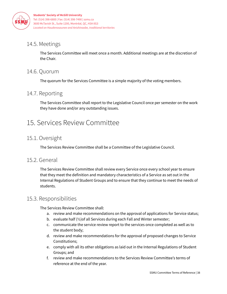

# <span id="page-38-0"></span>14.5. Meetings

The Services Committee will meet once a month. Additional meetings are at the discretion of the Chair.

# <span id="page-38-1"></span>14.6. Quorum

The quorum for the Services Committee is a simple majority of the voting members.

# <span id="page-38-2"></span>14.7. Reporting

The Services Committee shall report to the Legislative Council once per semester on the work they have done and/or any outstanding issues.

# <span id="page-38-3"></span>15. Services Review Committee

# 15.1. Oversight

The Services Review Committee shall be a Committee of the Legislative Council.

# 15.2. General

The Services Review Committee shall review every Service once every school year to ensure that they meet the definition and mandatory characteristics of a Service as set out in the Internal Regulations of Student Groups and to ensure that they continue to meet the needs of students.

# 15.3. Responsibilities

The Services Review Committee shall:

- a. review and make recommendations on the approval of applications for Service status;
- b. evaluate half (½)of all Services during each Fall and Winter semester;
- c. communicate the service review report to the services once completed as well as to the student body;
- d. review and make recommendations for the approval of proposed changes to Service Constitutions;
- e. comply with all its other obligations as laid out in the Internal Regulations of Student Groups; and
- f. review and make recommendations to the Services Review Committee's terms of reference at the end of the year.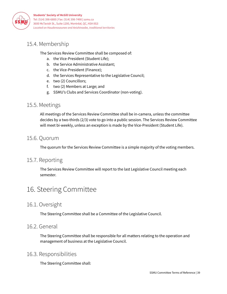

# 15.4. Membership

The Services Review Committee shall be composed of:

- a. the Vice-President (Student Life);
- b. the Service Administrative Assistant;
- c. the Vice-President (Finance);
- d. the Services Representative to the Legislative Council;
- e. two (2) Councillors;
- f. two (2) Members at Large; and
- g. SSMU's Clubs and Services Coordinator (non-voting).

#### 15.5. Meetings

All meetings of the Services Review Committee shall be in-camera, unless the committee decides by a two-thirds (2/3) vote to go into a public session. The Services Review Committee will meet bi-weekly, unless an exception is made by the Vice-President (Student Life).

#### 15.6. Quorum

The quorum for the Services Review Committee is a simple majority of the voting members.

### <span id="page-39-0"></span>15.7. Reporting

The Services Review Committee will report to the last Legislative Council meeting each semester.

# <span id="page-39-1"></span>16. Steering Committee

# 16.1. Oversight

The Steering Committee shall be a Committee of the Legislative Council.

#### 16.2. General

The Steering Committee shall be responsible for all matters relating to the operation and management of business at the Legislative Council.

#### 16.3. Responsibilities

The Steering Committee shall: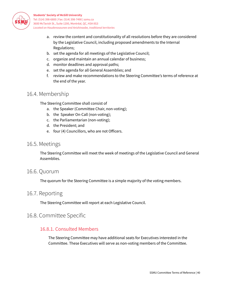

- a. review the content and constitutionality of all resolutions before they are considered by the Legislative Council, including proposed amendments to the Internal Regulations;
- b. set the agenda for all meetings of the Legislative Council;
- c. organize and maintain an annual calendar of business;
- d. monitor deadlines and approval paths;
- e. set the agenda for all General Assemblies; and
- f. review and make recommendations to the Steering Committee's terms of reference at the end of the year.

### 16.4. Membership

The Steering Committee shall consist of

- a. the Speaker (Committee Chair, non-voting);
- b. the Speaker On-Call (non-voting);
- c. the Parliamentarian (non-voting);
- d. the President; and
- e. four (4) Councillors, who are not Officers.

#### 16.5. Meetings

The Steering Committee will meet the week of meetings of the Legislative Council and General Assemblies.

#### 16.6. Quorum

The quorum for the Steering Committee is a simple majority of the voting members.

#### 16.7. Reporting

The Steering Committee will report at each Legislative Council.

#### <span id="page-40-1"></span><span id="page-40-0"></span>16.8. Committee Specific

#### 16.8.1. Consulted Members

The Steering Committee may have additional seats for Executives interested in the Committee. These Executives will serve as non-voting members of the Committee.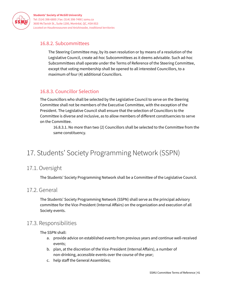

#### <span id="page-41-0"></span>16.8.2. Subcommittees

The Steering Committee may, by its own resolution or by means of a resolution of the Legislative Council, create ad-hoc Subcommittees as it deems advisable. Such ad-hoc Subcommittees shall operate under the Terms of Reference of the Steering Committee, except that voting membership shall be opened to all interested Councillors, to a maximum of four (4) additional Councillors.

#### <span id="page-41-1"></span>16.8.3. Councillor Selection

The Councillors who shall be selected by the Legislative Council to serve on the Steering Committee shall not be members of the Executive Committee, with the exception of the President. The Legislative Council shall ensure that the selection of Councillors to the Committee is diverse and inclusive, as to allow members of different constituencies to serve on the Committee.

16.8.3.1. No more than two (2) Councillors shall be selected to the Committee from the same constituency.

# <span id="page-41-2"></span>17. Students' Society Programming Network (SSPN)

# 17.1. Oversight

The Students' Society Programming Network shall be a Committee of the Legislative Council.

### 17.2. General

The Students' Society Programming Network (SSPN) shall serve as the principal advisory committee for the Vice-President (Internal Affairs) on the organization and execution of all Society events.

### 17.3. Responsibilities

The SSPN shall:

- a. provide advice on established events from previous years and continue well-received events;
- b. plan, at the discretion of the Vice-President (Internal Affairs), a number of non-drinking, accessible events over the course of the year;
- c. help staff the General Assemblies;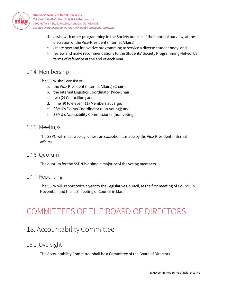

- d. assist with other programming in the Society outside of their normal purview, at the discretion of the Vice-President (Internal Affairs);
- e. create new and innovative programming to service a diverse student body; and
- f. review and make recommendations to the Students' Society Programming Network's terms of reference at the end of each year.

### 17.4. Membership

The SSPN shall consist of:

- a. the Vice-President (Internal Affairs) (Chair);
- b. the Internal Logistics Coordinator (Vice-Chair);
- c. two (2) Councillors; and
- d. nine (9) to eleven (11) Members at Large;
- e. SSMU's Events Coordinator (non-voting); and
- f. SSMU's Accessibility Commissioner (non-voting).

#### 17.5. Meetings

The SSPN will meet weekly, unless an exception is made by the Vice-President (Internal Affairs).

#### 17.6. Quorum

The quorum for the SSPN is a simple majority of the voting members.

#### <span id="page-42-0"></span>17.7. Reporting

The SSPN will report twice a year to the Legislative Council, at the first meeting of Council in November and the last meeting of Council in March.

# <span id="page-42-1"></span>COMMITTEES OF THE BOARD OF DIRECTORS

# <span id="page-42-2"></span>18. Accountability Committee

### <span id="page-42-3"></span>18.1. Oversight

The Accountability Committee shall be a Committee of the Board of Directors.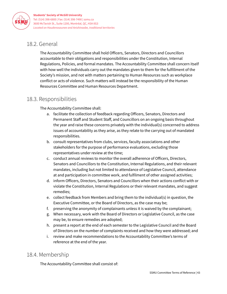

# <span id="page-43-0"></span>18.2. General

The Accountability Committee shall hold Officers, Senators, Directors and Councillors accountable to their obligations and responsibilities under the Constitution, Internal Regulations, Policies, and formal mandates. The Accountability Committee shall concern itself with how well the individuals carry out the mandates given to them for the fulfillment of the Society's mission, and not with matters pertaining to Human Resources such as workplace conflict or acts of violence. Such matters will instead be the responsibility of the Human Resources Committee and Human Resources Department.

# 18.3. Responsibilities

The Accountability Committee shall:

- a. facilitate the collection of feedback regarding Officers, Senators, Directors and Permanent Staff and Student Staff, and Councillors on an ongoing basis throughout the year and raise these concerns privately with the individual(s) concerned to address issues of accountability as they arise, as they relate to the carrying out of mandated responsibilities.
- b. consult representatives from clubs, services, faculty associations and other stakeholders for the purpose of performance evaluations, excluding those representatives under review at the time;
- c. conduct annual reviews to monitor the overall adherence of Officers, Directors, Senators and Councillors to the Constitution, Internal Regulations, and their relevant mandates, including but not limited to attendance of Legislative Council, attendance at and participation in committee work, and fulfilment of other assigned activities;
- d. inform Officers, Directors, Senators and Councillors when their actions conflict with or violate the Constitution, Internal Regulations or their relevant mandates, and suggest remedies;
- e. collect feedback from Members and bring them to the individual(s) in question, the Executive Committee, or the Board of Directors, as the case may be;
- f. preserving the anonymity of complainants unless it is waived by the complainant;
- g. When necessary, work with the Board of Directors or Legislative Council, as the case may be, to ensure remedies are adopted;
- h. present a report at the end of each semester to the Legislative Council and the Board of Directors on the number of complaints received and how they were addressed; and
- i. review and make recommendations to the Accountability Committee's terms of reference at the end of the year.

# <span id="page-43-1"></span>18.4. Membership

The Accountability Committee shall consist of: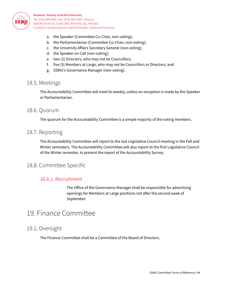

- a. the Speaker (Committee Co-Chair, non-voting);
- b. the Parliamentarian (Committee Co-Chair, non-voting);
- c. the University Affairs Secretary General (non-voting);
- d. the Speaker on Call (non-voting);
- e. two (2) Directors, who may not be Councillors;
- f. five (5) Members at Large, who may not be Councillors or Directors; and
- g. SSMU's Governance Manager (non-voting).

#### <span id="page-44-1"></span>18.5. Meetings

The Accountability Committee will meet bi-weekly, unless an exception is made by the Speaker or Parliamentarian.

#### 18.6. Quorum

The quorum for the Accountability Committee is a simple majority of the voting members.

#### <span id="page-44-0"></span>18.7. Reporting

The Accountability Committee will report to the last Legislative Council meeting in the Fall and Winter semesters. The Accountability Committee will also report to the first Legislative Council of the Winter semester, to present the report of the Accountability Survey.

# <span id="page-44-3"></span><span id="page-44-2"></span>18.8. Committee Specific

#### 18.8.1. Recruitment

The Office of the Governance Manager shall be responsible for advertising openings for Members at Large positions not after the second week of September.

# <span id="page-44-4"></span>19. Finance Committee

### 19.1. Oversight

The Finance Committee shall be a Committee of the Board of Directors.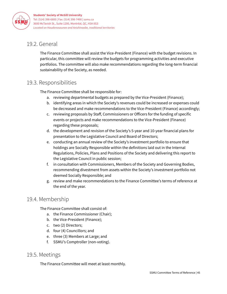

# 19.2. General

The Finance Committee shall assist the Vice-President (Finance) with the budget revisions. In particular, this committee will review the budgets for programming activities and executive portfolios. The committee will also make recommendations regarding the long-term financial sustainability of the Society, as needed.

# 19.3. Responsibilities

The Finance Committee shall be responsible for:

- a. reviewing departmental budgets as prepared by the Vice-President (Finance);
- b. identifying areas in which the Society's revenues could be increased or expenses could be decreased and make recommendations to the Vice-President (Finance) accordingly;
- c. reviewing proposals by Staff, Commissioners or Officers for the funding of specific events or projects and make recommendations to the Vice-President (Finance) regarding these proposals;
- d. the development and revision of the Society's 5-year and 10-year financial plans for presentation to the Legislative Council and Board of Directors;
- e. conducting an annual review of the Society's investment portfolio to ensure that holdings are Socially Responsible within the definitions laid out in the Internal Regulations, Policies, Plans and Positions of the Society and delivering this report to the Legislative Council in public session;
- f. in consultation with Commissioners, Members of the Society and Governing Bodies, recommending divestment from assets within the Society's investment portfolio not deemed Socially Responsible; and
- g. review and make recommendations to the Finance Committee's terms of reference at the end of the year.

# 19.4. Membership

The Finance Committee shall consist of:

- a. the Finance Commissioner (Chair);
- b. the Vice-President (Finance);
- c. two (2) Directors;
- d. four (4) Councillors; and
- e. three (3) Members at Large; and
- f. SSMU's Comptroller (non-voting).

### 19.5. Meetings

The Finance Committee will meet at least monthly.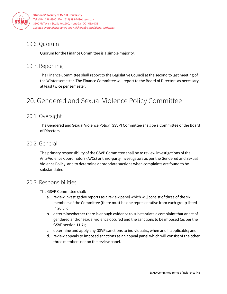

# 19.6. Quorum

Quorum for the Finance Committee is a simple majority.

# <span id="page-46-0"></span>19.7. Reporting

The Finance Committee shall report to the Legislative Council at the second to last meeting of the Winter semester. The Finance Committee will report to the Board of Directors as necessary, at least twice per semester.

# <span id="page-46-1"></span>20. Gendered and Sexual Violence Policy Committee

# <span id="page-46-2"></span>20.1. Oversight

The Gendered and Sexual Violence Policy (GSVP) Committee shall be a Committee of the Board of Directors.

### <span id="page-46-3"></span>20.2. General

The primary responsibility of the GSVP Committee shall be to review investigations of the Anti-Violence Coordinators (AVCs) or third-party investigators as per the Gendered and Sexual Violence Policy, and to determine appropriate sactions when complaints are found to be substantiated.

### <span id="page-46-4"></span>20.3. Responsibilities

The GSVP Committee shall:

- a. review investigative reports as a review panel which will consist of three of the six members of the Committee (there must be one representative from each group listed in 20.5.);
- b. determinewhether there is enough evidence to substantiate a complaint that anact of gendered and/or sexual violence occured and the sanctions to be imposed (as per the GSVP section 11.7);
- c. determine and apply any GSVP sanctions to individual/s, when and if applicable; and
- d. review appeals to imposed sanctions as an appeal panel which will consist of the other three members not on the review panel.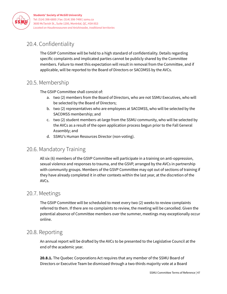

# <span id="page-47-0"></span>20.4. Confidentiality

The GSVP Committee will be held to a high standard of confidentiality. Details regarding specific complaints and implicated parties cannot be publicly shared by the Committee members. Failure to meet this expectation will result in removal from the Committee, and if applicable, will be reported to the Board of Directors or SACOMSS by the AVCs.

# <span id="page-47-1"></span>20.5. Membership

The GSVP Committee shall consist of:

- a. two (2) members from the Board of Directors, who are not SSMU Executives, who will be selected by the Board of Directors;
- b. two (2) representatives who are employees at SACOMSS, who will be selected by the SACOMSS membership; and
- c. two (2) student members-at-large from the SSMU community, who will be selected by the AVCs as a result of the open application process begun prior to the Fall General Assembly; and
- d. SSMU's Human Resources Director (non-voting).

# <span id="page-47-2"></span>20.6. Mandatory Training

All six (6) members of the GSVP Committee will participate in a training on anti-oppression, sexual violence and responses to trauma, and the GSVP, arranged by the AVCs in partnership with community groups. Members of the GSVP Committee may opt out of sections of training if they have already completed it in other contexts within the last year, at the discretion of the AVCs.

### <span id="page-47-3"></span>20.7. Meetings

The GSVP Committee will be scheduled to meet every two (2) weeks to review complaints referred to them. If there are no complaints to review, the meeting will be cancelled. Given the potential absence of Committee members over the summer, meetings may exceptionally occur online.

### <span id="page-47-4"></span>20.8. Reporting

An annual report will be drafted by the AVCs to be presented to the Legislative Council at the end of the academic year.

**20.8.1.** The Quebec Corporations Act requires that any member of the SSMU Board of Directors or Executive Team be dismissed through a two-thirds majority vote at a Board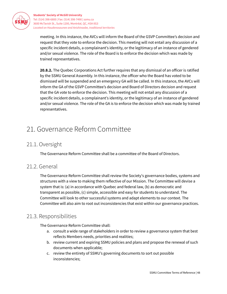

meeting. In this instance, the AVCs will inform the Board of the GSVP Committee's decision and request that they vote to enforce the decision. This meeting will not entail any discussion of a specific incident details, a complainant's identity, or the legitimacy of an instance of gendered and/or sexual violence. The role of the Board is to enforce the decision which was made by trained representatives.

**20.8.2.** The Quebec Corporations Act further requires that any dismissal of an officer is ratified by the SSMU General Assembly. In this instance, the officer who the Board has voted to be dismissed will be suspended and an emergency GA will be called. In this instance, the AVCs will inform the GA of the GSVP Committee's decision and Board of Directors decision and request that the GA vote to enforce the decision. This meeting will not entail any discussion of a specific incident details, a complainant's identity, or the legitimacy of an instance of gendered and/or sexual violence. The role of the GA is to enforce the decision which was made by trained representatives.

# <span id="page-48-0"></span>21. Governance Reform Committee

# 21.1. Oversight

The Governance Reform Committee shall be a committee of the Board of Directors.

### 21.2. General

The Governance Reform Committee shall review the Society's governance bodies, systems and structures with a view to making them reflective of our Mission. The Committee will devise a system that is: (a) in accordance with Quebec and federal law, (b) as democratic and transparent as possible, (c) simple, accessible and easy for students to understand. The Committee will look to other successful systems and adapt elements to our context. The Committee will also aim to root out inconsistencies that exist within our governance practices.

# 21.3. Responsibilities

The Governance Reform Committee shall:

- a. consult a wide range of stakeholders in order to review a governance system that best reflects Members needs, priorities and realities;
- b. review current and expiring SSMU policies and plans and propose the renewal of such documents when applicable;
- c. review the entirety of SSMU's governing documents to sort out possible inconsistencies;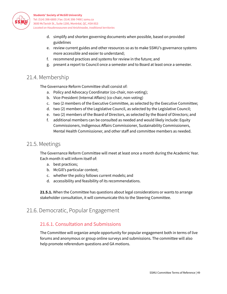

- d. simplify and shorten governing documents when possible, based on provided guidelines
- e. review current guides and other resources so as to make SSMU's governance systems more accessible and easier to understand;
- f. recommend practices and systems for review in the future; and
- g. present a report to Council once a semester and to Board at least once a semester.

# <span id="page-49-0"></span>21.4. Membership

The Governance Reform Committee shall consist of:

- a. Policy and Advocacy Coordinator (co-chair, non-voting);
- b. Vice-President (Internal Affairs) (co-chair, non-voting)
- c. two (2 members of the Executive Committee, as selected by the Executive Committee;
- d. two (2) members of the Legislative Council, as selected by the Legislative Council;
- e. two (2) members of the Board of Directors, as selected by the Board of Directors; and
- f. additional members can be consulted as needed and would likely include: Equity Commissioners, Indigenous Affairs Commissioner, Sustainability Commissioners, Mental Health Commissioner, and other staff and committee members as needed.

### <span id="page-49-1"></span>21.5. Meetings

The Governance Reform Committee will meet at least once a month during the Academic Year. Each month it will inform itself of:

- a. best practices;
- b. McGill's particular context;
- c. whether the policy follows current models; and
- d. accessibility and feasibility of its recommendations.

**21.5.1.** When the Committee has questions about legal considerations or wants to arrange stakeholder consultation, it will communicate this to the Steering Committee.

# <span id="page-49-2"></span>21.6. Democratic, Popular Engagement

### 21.6.1. Consultation and Submissions

The Committee will organize ample opportunity for popular engagement both in terms of live forums and anonymous or group online surveys and submissions. The committee will also help promote referendum questions and GA motions.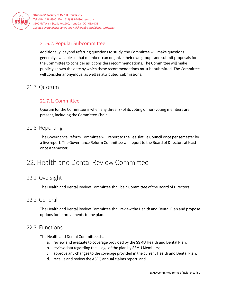

### <span id="page-50-0"></span>21.6.2. Popular Subcommittee

Additionally, beyond referring questions to study, the Committee will make questions generally available so that members can organize their own groups and submit proposals for the Committee to consider as it considers recommendations. The Committee will make publicly known the date by which these recommendations must be submitted. The Committee will consider anonymous, as well as attributed, submissions.

# <span id="page-50-2"></span><span id="page-50-1"></span>21.7. Quorum

### 21.7.1. Committee

Quorum for the Committee is when any three (3) of its voting or non-voting members are present, including the Committee Chair.

### <span id="page-50-3"></span>21.8. Reporting

The Governance Reform Committee will report to the Legislative Council once per semester by a live report. The Governance Reform Committee will report to the Board of Directors at least once a semester.

# <span id="page-50-4"></span>22. Health and Dental Review Committee

# 22.1. Oversight

The Health and Dental Review Committee shall be a Committee of the Board of Directors.

#### 22.2. General

The Health and Dental Review Committee shall review the Health and Dental Plan and propose options for improvements to the plan.

#### 22.3. Functions

The Health and Dental Committee shall:

- a. review and evaluate to coverage provided by the SSMU Health and Dental Plan;
- b. review data regarding the usage of the plan by SSMU Members;
- c. approve any changes to the coverage provided in the current Health and Dental Plan;
- d. receive and review the ASEQ annual claims report; and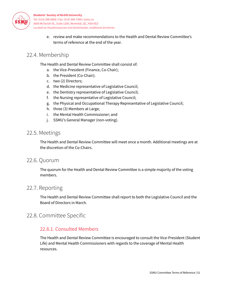

> e. review and make recommendations to the Health and Dental Review Committee's terms of reference at the end of the year.

# 22.4. Membership

The Health and Dental Review Committee shall consist of:

- a. the Vice-President (Finance, Co-Chair);
- b. the President (Co-Chair);
- c. two (2) Directors;
- d. the Medicine representative of Legislative Council;
- e. the Dentistry representative of Legislative Council;
- f. the Nursing representative of Legislative Council;
- g. the Physical and Occupational Therapy Representative of Legislative Council;
- h. three (3) Members at Large;
- i. the Mental Health Commissioner; and
- j. SSMU's General Manager (non-voting).

#### 22.5. Meetings

The Health and Dental Review Committee will meet once a month. Additional meetings are at the discretion of the Co-Chairs.

#### 22.6. Quorum

The quorum for the Health and Dental Review Committee is a simple majority of the voting members.

# 22.7. Reporting

The Health and Dental Review Committee shall report to both the Legislative Council and the Board of Directors in March.

### <span id="page-51-0"></span>22.8. Committee Specific

#### 22.8.1. Consulted Members

The Health and Dental Review Committee is encouraged to consult the Vice-President (Student Life) and Mental Health Commissioners with regards to the coverage of Mental Health resources.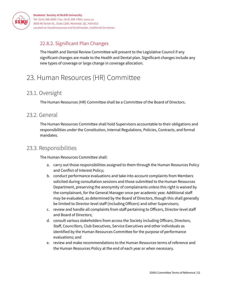

# <span id="page-52-0"></span>22.8.2. Significant Plan Changes

The Health and Dental Review Committee will present to the Legislative Council if any significant changes are made to the Health and Dental plan. Significant changes include any new types of coverage or large change in coverage allocation.

# <span id="page-52-1"></span>23. Human Resources (HR) Committee

# <span id="page-52-2"></span>23.1. Oversight

The Human Resources (HR) Committee shall be a Committee of the Board of Directors.

# <span id="page-52-3"></span>23.2. General

The Human Resources Committee shall hold Supervisors accountable to their obligations and responsibilities under the Constitution, Internal Regulations, Policies, Contracts, and formal mandates.

# <span id="page-52-4"></span>23.3. Responsibilities

The Human Resources Committee shall:

- a. carry out those responsibilities assigned to them through the Human Resources Policy and Conflict of Interest Policy;
- b. conduct performance evaluations and take into account complaints from Members solicited during consultation sessions and those submitted to the Human Resources Department, preserving the anonymity of complainants unless this right is waived by the complainant, for the General Manager once per academic year. Additional staff may be evaluated, as determined by the Board of Directors, though this shall generally be limited to Director-level staff (including Officers) and other Supervisors;
- c. review and handle all complaints from staff pertaining to Officers, Director-level staff and Board of Directors;
- d. consult various stakeholders from across the Society including Officers, Directors, Staff, Councillors, Club Executives, Service Executives and other individuals as identified by the Human Resources Committee for the purpose of performance evaluations; and
- e. review and make recommendations to the Human Resources terms of reference and the Human Resources Policy at the end of each year or when necessary.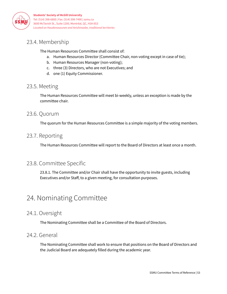

# <span id="page-53-0"></span>23.4. Membership

The Human Resources Committee shall consist of:

- a. Human Resources Director (Committee Chair, non-voting except in case of tie);
- b. Human Resources Manager (non-voting);
- c. three (3) Directors, who are not Executives; and
- d. one (1) Equity Commissioner.

# <span id="page-53-1"></span>23.5. Meeting

The Human Resources Committee will meet bi-weekly, unless an exception is made by the committee chair.

### <span id="page-53-2"></span>23.6. Quorum

The quorum for the Human Resources Committee is a simple majority of the voting members.

# <span id="page-53-3"></span>23.7. Reporting

The Human Resources Committee will report to the Board of Directors at least once a month.

# <span id="page-53-4"></span>23.8. Committee Specific

23.8.1. The Committee and/or Chair shall have the opportunity to invite guests, including Executives and/or Staff, to a given meeting, for consultation purposes.

# <span id="page-53-5"></span>24. Nominating Committee

### 24.1. Oversight

The Nominating Committee shall be a Committee of the Board of Directors.

# 24.2. General

The Nominating Committee shall work to ensure that positions on the Board of Directors and the Judicial Board are adequately filled during the academic year.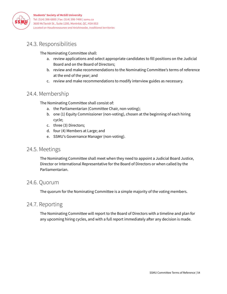

# 24.3. Responsibilities

The Nominating Committee shall:

- a. review applications and select appropriate candidates to fill positions on the Judicial Board and on the Board of Directors;
- b. review and make recommendations to the Nominating Committee's terms of reference at the end of the year; and
- c. review and make recommendations to modify interview guides as necessary.

# 24.4. Membership

The Nominating Committee shall consist of:

- a. the Parliamentarian (Committee Chair, non-voting);
- b. one (1) Equity Commissioner (non-voting), chosen at the beginning of each hiring cycle;
- c. three (3) Directors;
- d. four (4) Members at Large; and
- e. SSMU's Governance Manager (non-voting).

#### 24.5. Meetings

The Nominating Committee shall meet when they need to appoint a Judicial Board Justice, Director or International Representative for the Board of Directors or when called by the Parliamentarian.

### 24.6. Quorum

The quorum for the Nominating Committee is a simple majority of the voting members.

### 24.7. Reporting

The Nominating Committee will report to the Board of Directors with a timeline and plan for any upcoming hiring cycles, and with a full report immediately after any decision is made.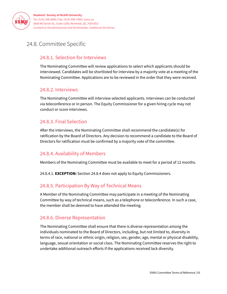

# <span id="page-55-0"></span>24.8. Committee Specific

#### 24.8.1. Selection for Interviews

The Nominating Committee will review applications to select which applicants should be interviewed. Candidates will be shortlisted for interview by a majority vote at a meeting of the Nominating Committee. Applications are to be reviewed in the order that they were received.

#### 24.8.2. Interviews

The Nominating Committee will interview selected applicants. Interviews can be conducted via teleconference or in person. The Equity Commissioner for a given hiring cycle may not conduct or score interviews.

#### 24.8.3. Final Selection

After the interviews, the Nominating Committee shall recommend the candidate(s) for ratification by the Board of Directors. Any decision to recommend a candidate to the Board of Directors for ratification must be confirmed by a majority vote of the committee.

#### 24.8.4. Availability of Members

Members of the Nominating Committee must be available to meet for a period of 12 months.

24.8.4.1. **EXCEPTION:** Section 24.8.4 does not apply to Equity Commissioners.

#### 24.8.5. Participation By Way of Technical Means

A Member of the Nominating Committee may participate in a meeting of the Nominating Committee by way of technical means, such as a telephone or teleconference. In such a case, the member shall be deemed to have attended the meeting.

#### 24.8.6. Diverse Representation

The Nominating Committee shall ensure that there is diverse representation among the individuals nominated to the Board of Directors, including, but not limited to, diversity in terms of race, national or ethnic origin, religion, sex, gender, age, mental or physical disability, language, sexual orientation or social class. The Nominating Committee reserves the right to undertake additional outreach efforts if the applications received lack diversity.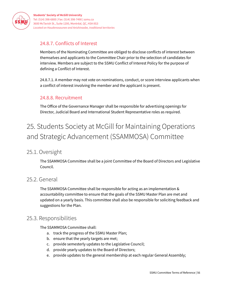

### <span id="page-56-0"></span>24.8.7. Conflicts of Interest

Members of the Nominating Committee are obliged to disclose conflicts of interest between themselves and applicants to the Committee Chair prior to the selection of candidates for interview. Members are subject to the SSMU Conflict of Interest Policy for the purpose of defining a Conflict of Interest.

24.8.7.1. A member may not vote on nominations, conduct, or score interview applicants when a conflict of interest involving the member and the applicant is present.

#### <span id="page-56-1"></span>24.8.8. Recruitment

The Office of the Governance Manager shall be responsible for advertising openings for Director, Judicial Board and International Student Representative roles as required.

# <span id="page-56-2"></span>25. Students Society at McGill for Maintaining Operations and Strategic Advancement (SSAMMOSA) Committee

### <span id="page-56-3"></span>25.1. Oversight

The SSAMMOSA Committee shall be a joint Committee of the Board of Directors and Legislative Council.

#### <span id="page-56-4"></span>25.2. General

The SSAMMOSA Committee shall be responsible for acting as an implementation & accountability committee to ensure that the goals of the SSMU Master Plan are met and updated on a yearly basis. This committee shall also be responsible for soliciting feedback and suggestions for the Plan.

#### <span id="page-56-5"></span>25.3. Responsibilities

The SSAMMOSA Committee shall:

- a. track the progress of the SSMU Master Plan;
- b. ensure that the yearly targets are met;
- c. provide semesterly updates to the Legislative Council;
- d. provide yearly updates to the Board of Directors;
- e. provide updates to the general membership at each regular General Assembly;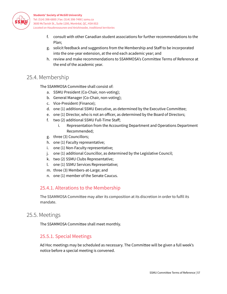

- f. consult with other Canadian student associations for further recommendations to the Plan;
- g. solicit feedback and suggestions from the Membership and Staff to be incorporated into the one-year extension, at the end each academic year; and
- h. review and make recommendations to SSAMMOSA's Committee Terms of Reference at the end of the academic year.

# <span id="page-57-0"></span>25.4. Membership

The SSAMMOSA Committee shall consist of:

- a. SSMU President (Co-Chair, non-voting);
- b. General Manager (Co-Chair, non-voting);
- c. Vice-President (Finance);
- d. one (1) additional SSMU Executive, as determined by the Executive Committee;
- e. one (1) Director, who is not an officer, as determined by the Board of Directors;
- f. two (2) additional SSMU Full-Time Staff;
	- i. Representation from the Accounting Department and Operations Department Recommended;
- g. three (3) Councillors;
- h. one (1) Faculty representative;
- i. one (1) Non-Faculty representative;
- j. one (1) additional Councillor, as determined by the Legislative Council;
- k. two (2) SSMU Clubs Representative;
- l. one (1) SSMU Services Representative;
- m. three (3) Members-at-Large; and
- n. one (1) member of the Senate Caucus.

#### <span id="page-57-1"></span>25.4.1. Alterations to the Membership

The SSAMMOSA Committee may alter its composition at its discretion in order to fulfil its mandate.

### <span id="page-57-2"></span>25.5. Meetings

<span id="page-57-3"></span>The SSAMMOSA Committee shall meet monthly.

#### 25.5.1. Special Meetings

Ad Hoc meetings may be scheduled as necessary. The Committee will be given a full week's notice before a special meeting is convened.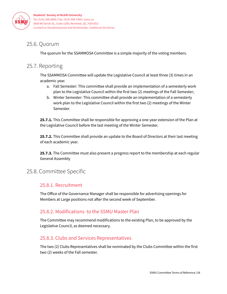

# <span id="page-58-0"></span>25.6. Quorum

The quorum for the SSAMMOSA Committee is a simple majority of the voting members.

# <span id="page-58-1"></span>25.7. Reporting

The SSAMMOSA Committee will update the Legislative Council at least three (3) times in an academic year.

- a. Fall Semester: This committee shall provide an implementation of a semesterly work plan to the Legislative Council within the first two (2) meetings of the Fall Semester;
- b. Winter Semester: This committee shall provide an implementation of a semesterly work plan to the Legislative Council within the first two (2) meetings of the Winter Semester.

**25.7.1.** This Committee shall be responsible for approving a one-year extension of the Plan at the Legislative Council before the last meeting of the Winter Semester.

**25.7.2.** This Committee shall provide an update to the Board of Directors at their last meeting of each academic year.

**25.7.3.** The Committee must also present a progress report to the membership at each regular General Assembly

# <span id="page-58-3"></span><span id="page-58-2"></span>25.8. Committee Specific

#### 25.8.1. Recruitment

The Office of the Governance Manager shall be responsible for advertising openings for Members at Large positions not after the second week of September.

#### <span id="page-58-4"></span>25.8.2. Modifications to the SSMU Master Plan

The Committee may recommend modifications to the existing Plan, to be approved by the Legislative Council, as deemed necessary.

#### <span id="page-58-5"></span>25.8.3. Clubs and Services Representatives

The two (2) Clubs Representatives shall be nominated by the Clubs Committee within the first two (2) weeks of the Fall semester.